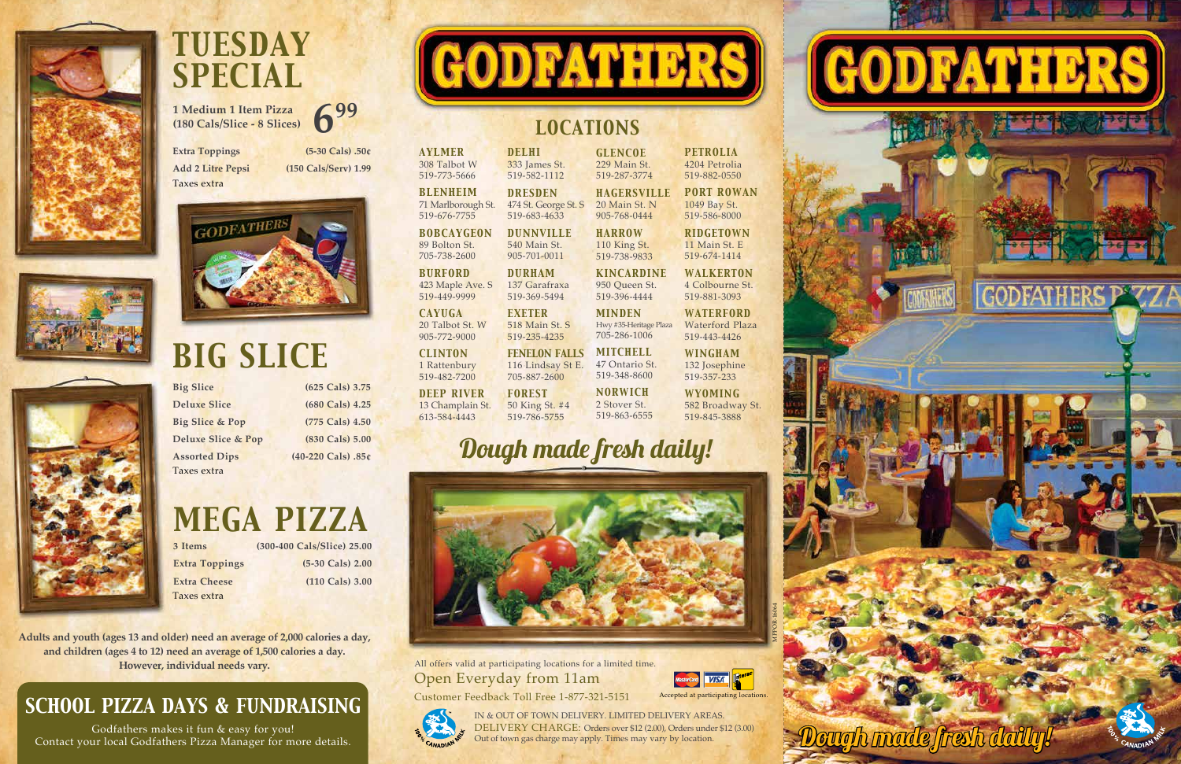**Big Slice (625 Cals) 3.75** 

**Deluxe Slice (680 Cals) 4.25 Big Slice & Pop (775 Cals) 4.50 Deluxe Slice & Pop (830 Cals) 5.00 Assorted Dips (40-220 Cals) .85¢** Taxes extra

# *BIG SLICE*

**3 Items (300-400 Cals/Slice) 25.00 Extra Toppings (5-30 Cals) 2.00 Extra Cheese** (110 Cals) 3.00

**Extra Toppings (5-30 Cals) .50¢**



**Add 2 Litre Pepsi (150 Cals/Serv) 1.99** Taxes extra



## *TUESDAY SPECIAL*







## *MEGA PIZZA*

All offers valid at participating locations for a limited time. Open Everyday from 11am



Customer Feedback Toll Free 1-877-321-5151



Taxes extra

IN & OUT OF TOWN DELIVERY. LIMITED DELIVERY AREAS. DELIVERY CHARGE: Orders over \$12 (2.00), Orders under \$12 (3.00) Out of town gas charge may apply. Times may vary by location.

*AYLMER* 308 Talbot W 519-773-5666 *BLENHEIM* 71 Marlborough St. 519-676-7755 *DELHI* 333 James St. 519-582-1112 *DRESDEN* 474 St. George St. S 519-683-4633

*BOBCAYGEON* 89 Bolton St. 705-738-2600 *DUNNVILLE* 540 Main St. 905-701-0011

*DEEP RIVER* 13 Champlain St. 613-584-4443

*BURFORD* 423 Maple Ave. S 519-449-9999 *DURHAM* 137 Garafraxa 519-369-5494

*CAYUGA* 20 Talbot St. W 905-772-9000 *EXETER* 518 Main St. S 519-235-4235

*CLINTON* 1 Rattenbury 519-482-7200 *FENELON FALLS* 116 Lindsay St E. 705-887-2600

**1 Medium 1 Item Pizza (180 Cals/Slice - 8 Slices) 699**

*FOREST*

### 50 King St. #4 519-786-5755

*GLENCOE* 229 Main St. 519-287-3774

905-768-0444 *HARROW* 110 King St. 519-738-9833 *KINCARDINE* 950 Queen St. 519-396-4444 *MINDEN*  Hwy #35-Heritage Plaza 705-286-1006 *MITCHELL* 47 Ontario St. 519-348-8600 *NORWICH* 2 Stover St. 519-863-6555

*HAGERSVILLE* 20 Main St. N 519-882-0550

*PETROLIA* 4204 Petrolia

*PORT ROWAN* 1049 Bay St. 519-586-8000

*RIDGETOWN* 11 Main St. E 519-674-1414

*WALKERTON* 4 Colbourne St. 519-881-3093

*WATERFORD* Waterford Plaza 519-443-4426

*WINGHAM* 132 Josephine 519-357-233

*WYOMING*

582 Broadway St. 519-845-3888

### *SCHOOL PIZZA DAYS & FUNDRAISING*

Godfathers makes it fun & easy for you! Contact your local Godfathers Pizza Manager for more details.



**Adults and youth (ages 13 and older) need an average of 2,000 calories a day, and children (ages 4 to 12) need an average of 1,500 calories a day. However, individual needs vary.**

### *LOCATIONS*

## Dough made fresh daily!